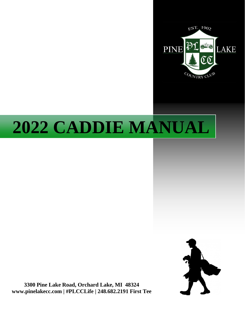

# **2022 CADDIE MANUAL**



**3300 Pine Lake Road, Orchard Lake, MI 48324 www.pinelakecc.com | #PLCCLife | 248.682.2191 First Tee**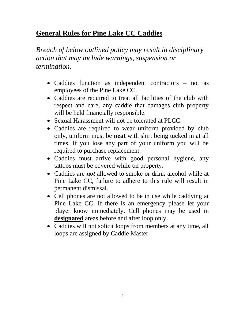## **General Rules for Pine Lake CC Caddies**

*Breach of below outlined policy may result in disciplinary action that may include warnings, suspension or termination.*

- Caddies function as independent contractors not as employees of the Pine Lake CC.
- Caddies are required to treat all facilities of the club with respect and care, any caddie that damages club property will be held financially responsible.
- Sexual Harassment will not be tolerated at PLCC.
- Caddies are required to wear uniform provided by club only, uniform must be **neat** with shirt being tucked in at all times. If you lose any part of your uniform you will be required to purchase replacement.
- Caddies must arrive with good personal hygiene, any tattoos must be covered while on property.
- Caddies are *not* allowed to smoke or drink alcohol while at Pine Lake CC, failure to adhere to this rule will result in permanent dismissal.
- Cell phones are not allowed to be in use while caddying at Pine Lake CC. If there is an emergency please let your player know immediately. Cell phones may be used in **designated** areas before and after loop only.
- Caddies will not solicit loops from members at any time, all loops are assigned by Caddie Master.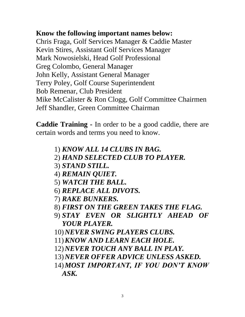## **Know the following important names below:**

Chris Fraga, Golf Services Manager & Caddie Master Kevin Stires, Assistant Golf Services Manager Mark Nowosielski, Head Golf Professional Greg Colombo, General Manager John Kelly, Assistant General Manager Terry Poley, Golf Course Superintendent Bob Remenar, Club President Mike McCalister & Ron Clogg, Golf Committee Chairmen Jeff Shandler, Green Committee Chairman

**Caddie Training -** In order to be a good caddie, there are certain words and terms you need to know.

- 1) *KNOW ALL 14 CLUBS IN BAG.*
- 2) *HAND SELECTED CLUB TO PLAYER.*
- 3) *STAND STILL.*
- 4) *REMAIN QUIET.*
- 5) *WATCH THE BALL.*
- 6) *REPLACE ALL DIVOTS.*
- 7) *RAKE BUNKERS.*
- 8) *FIRST ON THE GREEN TAKES THE FLAG.*
- 9) *STAY EVEN OR SLIGHTLY AHEAD OF YOUR PLAYER.*
- 10)*NEVER SWING PLAYERS CLUBS.*
- 11)*KNOW AND LEARN EACH HOLE.*
- 12)*NEVER TOUCH ANY BALL IN PLAY.*
- 13)*NEVER OFFER ADVICE UNLESS ASKED.*
- 14)*MOST IMPORTANT, IF YOU DON'T KNOW ASK.*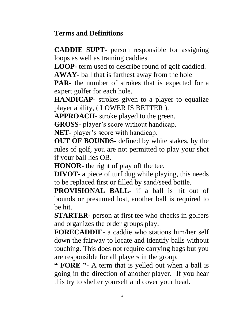## **Terms and Definitions**

**CADDIE SUPT-** person responsible for assigning loops as well as training caddies.

**LOOP-** term used to describe round of golf caddied.

**AWAY-** ball that is farthest away from the hole

**PAR-** the number of strokes that is expected for a expert golfer for each hole.

**HANDICAP-** strokes given to a player to equalize player ability, ( LOWER IS BETTER ).

**APPROACH-** stroke played to the green.

**GROSS-** player's score without handicap.

**NET-** player's score with handicap.

**OUT OF BOUNDS-** defined by white stakes, by the rules of golf, you are not permitted to play your shot if your ball lies OB.

**HONOR-** the right of play off the tee.

**DIVOT-** a piece of turf dug while playing, this needs to be replaced first or filled by sand/seed bottle.

**PROVISIONAL BALL-** if a ball is hit out of bounds or presumed lost, another ball is required to be hit.

**STARTER-** person at first tee who checks in golfers and organizes the order groups play.

**FORECADDIE-** a caddie who stations him/her self down the fairway to locate and identify balls without touching. This does not require carrying bags but you are responsible for all players in the group.

**" FORE "-** A term that is yelled out when a ball is going in the direction of another player. If you hear this try to shelter yourself and cover your head.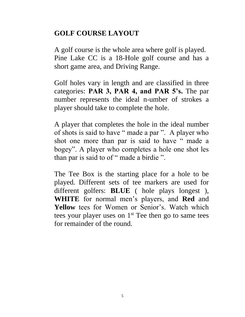## **GOLF COURSE LAYOUT**

A golf course is the whole area where golf is played. Pine Lake CC is a 18-Hole golf course and has a short game area, and Driving Range.

Golf holes vary in length and are classified in three categories: **PAR 3, PAR 4, and PAR 5's.** The par number represents the ideal n-umber of strokes a player should take to complete the hole.

A player that completes the hole in the ideal number of shots is said to have " made a par ". A player who shot one more than par is said to have " made a bogey". A player who completes a hole one shot les than par is said to of " made a birdie ".

The Tee Box is the starting place for a hole to be played. Different sets of tee markers are used for different golfers: **BLUE** ( hole plays longest ), **WHITE** for normal men's players, and **Red** and **Yellow** tees for Women or Senior's. Watch which tees your player uses on  $1<sup>st</sup>$  Tee then go to same tees for remainder of the round.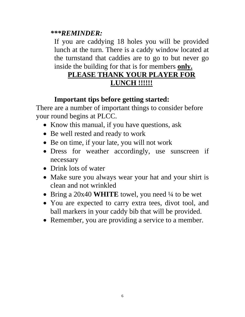#### *\*\*\*REMINDER:*

If you are caddying 18 holes you will be provided lunch at the turn. There is a caddy window located at the turnstand that caddies are to go to but never go inside the building for that is for members **only.**

# **PLEASE THANK YOUR PLAYER FOR LUNCH !!!!!!**

## **Important tips before getting started:**

There are a number of important things to consider before your round begins at PLCC.

- Know this manual, if you have questions, ask
- Be well rested and ready to work
- Be on time, if your late, you will not work
- Dress for weather accordingly, use sunscreen if necessary
- Drink lots of water
- Make sure you always wear your hat and your shirt is clean and not wrinkled
- Bring a 20x40 **WHITE** towel, you need <sup>1</sup>/4 to be wet
- You are expected to carry extra tees, divot tool, and ball markers in your caddy bib that will be provided.
- Remember, you are providing a service to a member.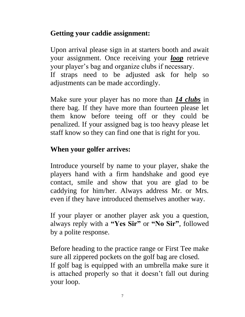## **Getting your caddie assignment:**

Upon arrival please sign in at starters booth and await your assignment. Once receiving your *loop* retrieve your player's bag and organize clubs if necessary. If straps need to be adjusted ask for help so adjustments can be made accordingly.

Make sure your player has no more than *14 clubs* in there bag. If they have more than fourteen please let them know before teeing off or they could be penalized. If your assigned bag is too heavy please let staff know so they can find one that is right for you.

## **When your golfer arrives:**

Introduce yourself by name to your player, shake the players hand with a firm handshake and good eye contact, smile and show that you are glad to be caddying for him/her. Always address Mr. or Mrs. even if they have introduced themselves another way.

If your player or another player ask you a question, always reply with a **"Yes Sir"** or **"No Sir"**, followed by a polite response.

Before heading to the practice range or First Tee make sure all zippered pockets on the golf bag are closed. If golf bag is equipped with an umbrella make sure it is attached properly so that it doesn't fall out during your loop.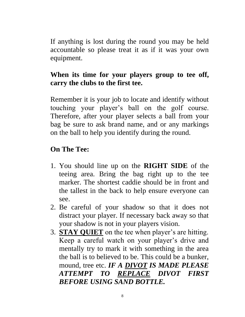If anything is lost during the round you may be held accountable so please treat it as if it was your own equipment.

## **When its time for your players group to tee off, carry the clubs to the first tee.**

Remember it is your job to locate and identify without touching your player's ball on the golf course. Therefore, after your player selects a ball from your bag be sure to ask brand name, and or any markings on the ball to help you identify during the round.

## **On The Tee:**

- 1. You should line up on the **RIGHT SIDE** of the teeing area. Bring the bag right up to the tee marker. The shortest caddie should be in front and the tallest in the back to help ensure everyone can see.
- 2. Be careful of your shadow so that it does not distract your player. If necessary back away so that your shadow is not in your players vision.
- 3. **STAY QUIET** on the tee when player's are hitting. Keep a careful watch on your player's drive and mentally try to mark it with something in the area the ball is to believed to be. This could be a bunker, mound, tree etc. *IF A DIVOT IS MADE PLEASE ATTEMPT TO REPLACE DIVOT FIRST BEFORE USING SAND BOTTLE.*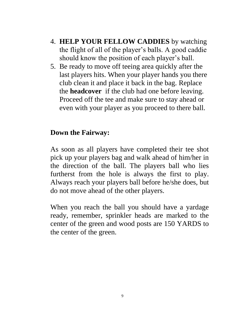- 4. **HELP YOUR FELLOW CADDIES** by watching the flight of all of the player's balls. A good caddie should know the position of each player's ball.
- 5. Be ready to move off teeing area quickly after the last players hits. When your player hands you there club clean it and place it back in the bag. Replace the **headcover** if the club had one before leaving. Proceed off the tee and make sure to stay ahead or even with your player as you proceed to there ball.

#### **Down the Fairway:**

As soon as all players have completed their tee shot pick up your players bag and walk ahead of him/her in the direction of the ball. The players ball who lies furtherst from the hole is always the first to play. Always reach your players ball before he/she does, but do not move ahead of the other players.

When you reach the ball you should have a yardage ready, remember, sprinkler heads are marked to the center of the green and wood posts are 150 YARDS to the center of the green.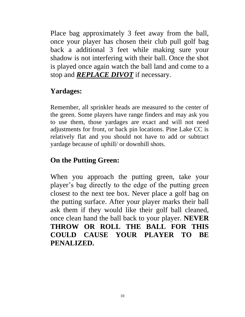Place bag approximately 3 feet away from the ball, once your player has chosen their club pull golf bag back a additional 3 feet while making sure your shadow is not interfering with their ball. Once the shot is played once again watch the ball land and come to a stop and *REPLACE DIVOT* if necessary.

# **Yardages:**

Remember, all sprinkler heads are measured to the center of the green. Some players have range finders and may ask you to use them, those yardages are exact and will not need adjustments for front, or back pin locations. Pine Lake CC is relatively flat and you should not have to add or subtract yardage because of uphill/ or downhill shots.

# **On the Putting Green:**

When you approach the putting green, take your player's bag directly to the edge of the putting green closest to the next tee box. Never place a golf bag on the putting surface. After your player marks their ball ask them if they would like their golf ball cleaned, once clean hand the ball back to your player. **NEVER THROW OR ROLL THE BALL FOR THIS COULD CAUSE YOUR PLAYER TO BE PENALIZED.**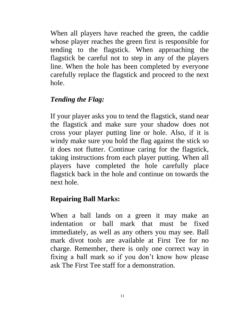When all players have reached the green, the caddie whose player reaches the green first is responsible for tending to the flagstick. When approaching the flagstick be careful not to step in any of the players line. When the hole has been completed by everyone carefully replace the flagstick and proceed to the next hole.

## *Tending the Flag:*

If your player asks you to tend the flagstick, stand near the flagstick and make sure your shadow does not cross your player putting line or hole. Also, if it is windy make sure you hold the flag against the stick so it does not flutter. Continue caring for the flagstick, taking instructions from each player putting. When all players have completed the hole carefully place flagstick back in the hole and continue on towards the next hole.

## **Repairing Ball Marks:**

When a ball lands on a green it may make an indentation or ball mark that must be fixed immediately, as well as any others you may see. Ball mark divot tools are available at First Tee for no charge. Remember, there is only one correct way in fixing a ball mark so if you don't know how please ask The First Tee staff for a demonstration.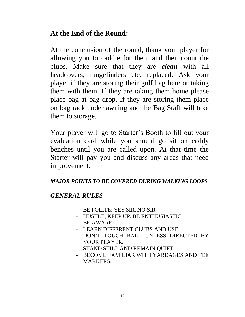## **At the End of the Round:**

At the conclusion of the round, thank your player for allowing you to caddie for them and then count the clubs. Make sure that they are *clean* with all headcovers, rangefinders etc. replaced. Ask your player if they are storing their golf bag here or taking them with them. If they are taking them home please place bag at bag drop. If they are storing them place on bag rack under awning and the Bag Staff will take them to storage.

Your player will go to Starter's Booth to fill out your evaluation card while you should go sit on caddy benches until you are called upon. At that time the Starter will pay you and discuss any areas that need improvement.

#### *MAJOR POINTS TO BE COVERED DURING WALKING LOOPS*

#### *GENERAL RULES*

- BE POLITE: YES SIR, NO SIR
- HUSTLE, KEEP UP, BE ENTHUSIASTIC
- BE AWARE
- LEARN DIFFERENT CLUBS AND USE
- DON'T TOUCH BALL UNLESS DIRECTED BY YOUR PLAYER.
- STAND STILL AND REMAIN QUIET
- BECOME FAMILIAR WITH YARDAGES AND TEE MARKERS.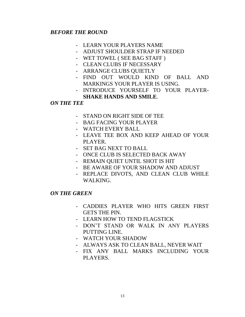#### *BEFORE THE ROUND*

- LEARN YOUR PLAYERS NAME
- ADJUST SHOULDER STRAP IF NEEDED
- WET TOWEL ( SEE BAG STAFF )
- CLEAN CLUBS IF NECESSARY
- ARRANGE CLUBS OUIETLY
- FIND OUT WOULD KIND OF BALL AND MARKINGS YOUR PLAYER IS USING.
- INTRODUCE YOURSELF TO YOUR PLAYER-**SHAKE HANDS AND SMILE**.

#### *ON THE TEE*

- STAND ON RIGHT SIDE OF TEE
- BAG FACING YOUR PLAYER
- WATCH EVERY BALL
- LEAVE TEE BOX AND KEEP AHEAD OF YOUR PLAYER.
- SET BAG NEXT TO BALL
- ONCE CLUB IS SELECTED BACK AWAY
- REMAIN QUIET UNTIL SHOT IS HIT
- BE AWARE OF YOUR SHADOW AND ADJUST
- REPLACE DIVOTS, AND CLEAN CLUB WHILE WALKING.

#### *ON THE GREEN*

- CADDIES PLAYER WHO HITS GREEN FIRST GETS THE PIN.
- LEARN HOW TO TEND FLAGSTICK
- DON'T STAND OR WALK IN ANY PLAYERS PUTTING LINE.
- WATCH YOUR SHADOW
- ALWAYS ASK TO CLEAN BALL, NEVER WAIT
- FIX ANY BALL MARKS INCLUDING YOUR PLAYERS.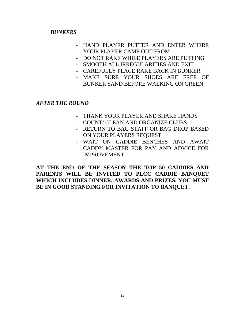#### *BUNKERS*

- HAND PLAYER PUTTER AND ENTER WHERE YOUR PLAYER CAME OUT FROM
- DO NOT RAKE WHILE PLAYERS ARE PUTTING
- SMOOTH ALL IRREGULARITIES AND EXIT
- CAREFULLY PLACE RAKE BACK IN BUNKER
- MAKE SURE YOUR SHOES ARE FREE OF
	- BUNKER SAND BEFORE WALKING ON GREEN.

*AFTER THE ROUND*

- THANK YOUR PLAYER AND SHAKE HANDS
- COUNT/ CLEAN AND ORGANIZE CLUBS
- RETURN TO BAG STAFF OR BAG DROP BASED ON YOUR PLAYERS REQUEST
- WAIT ON CADDIE BENCHES AND AWAIT CADDY MASTER FOR PAY AND ADVICE FOR IMPROVEMENT.

**AT THE END OF THE SEASON THE TOP 50 CADDIES AND PARENTS WILL BE INVITED TO PLCC CADDIE BANQUET WHICH INCLUDES DINNER, AWARDS AND PRIZES. YOU MUST BE IN GOOD STANDING FOR INVITATION TO BANQUET.**